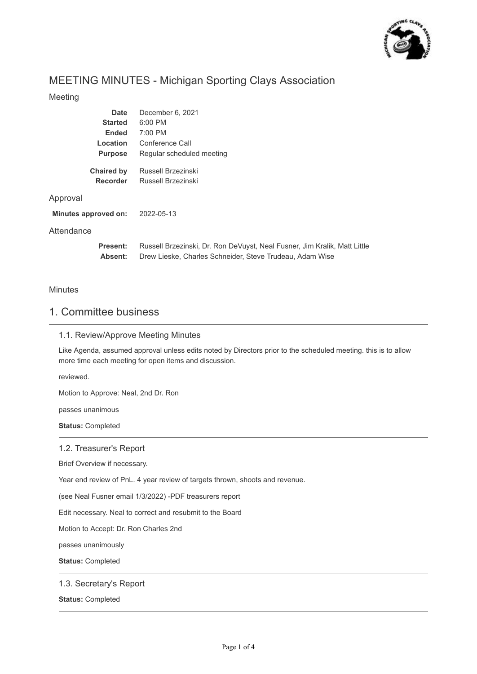

# MEETING MINUTES - Michigan Sporting Clays Association

#### Meeting

| Date                 | December 6, 2021                                                          |
|----------------------|---------------------------------------------------------------------------|
| <b>Started</b>       | 6:00 PM                                                                   |
| <b>Ended</b>         | 7:00 PM                                                                   |
| <b>Location</b>      | Conference Call                                                           |
| <b>Purpose</b>       | Regular scheduled meeting                                                 |
| <b>Chaired by</b>    | Russell Brzezinski                                                        |
| <b>Recorder</b>      | Russell Brzezinski                                                        |
| Approval             |                                                                           |
| Minutes approved on: | 2022-05-13                                                                |
| Attendance           |                                                                           |
| <b>Present:</b>      | Russell Brzezinski, Dr. Ron DeVuyst, Neal Fusner, Jim Kralik, Matt Little |

**Absent:** Drew Lieske, Charles Schneider, Steve Trudeau, Adam Wise

#### **Minutes**

# 1. Committee business

#### 1.1. Review/Approve Meeting Minutes

Like Agenda, assumed approval unless edits noted by Directors prior to the scheduled meeting. this is to allow more time each meeting for open items and discussion.

reviewed.

Motion to Approve: Neal, 2nd Dr. Ron

passes unanimous

**Status:** Completed

1.2. Treasurer's Report

Brief Overview if necessary.

Year end review of PnL. 4 year review of targets thrown, shoots and revenue.

(see Neal Fusner email 1/3/2022) -PDF treasurers report

Edit necessary. Neal to correct and resubmit to the Board

Motion to Accept: Dr. Ron Charles 2nd

passes unanimously

**Status:** Completed

#### 1.3. Secretary's Report

**Status:** Completed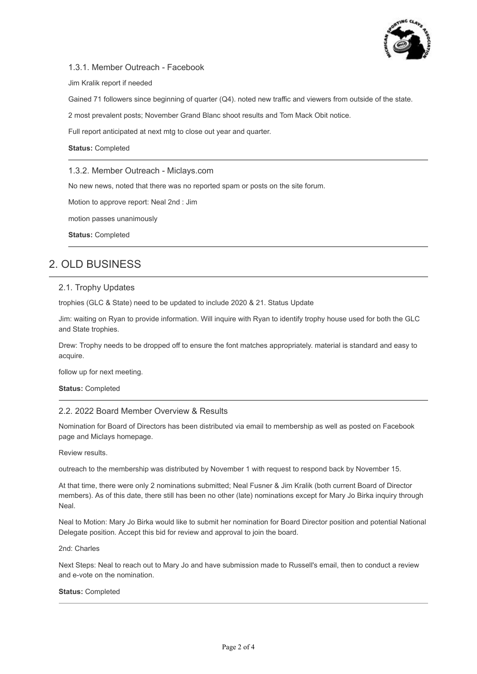

#### 1.3.1. Member Outreach - Facebook

Jim Kralik report if needed

Gained 71 followers since beginning of quarter (Q4). noted new traffic and viewers from outside of the state.

2 most prevalent posts; November Grand Blanc shoot results and Tom Mack Obit notice.

Full report anticipated at next mtg to close out year and quarter.

#### **Status:** Completed

1.3.2. Member Outreach - Miclays.com

No new news, noted that there was no reported spam or posts on the site forum.

Motion to approve report: Neal 2nd : Jim

motion passes unanimously

**Status:** Completed

## 2. OLD BUSINESS

#### 2.1. Trophy Updates

trophies (GLC & State) need to be updated to include 2020 & 21. Status Update

Jim: waiting on Ryan to provide information. Will inquire with Ryan to identify trophy house used for both the GLC and State trophies.

Drew: Trophy needs to be dropped off to ensure the font matches appropriately. material is standard and easy to acquire.

follow up for next meeting.

**Status:** Completed

#### 2.2. 2022 Board Member Overview & Results

Nomination for Board of Directors has been distributed via email to membership as well as posted on Facebook page and Miclays homepage.

Review results.

outreach to the membership was distributed by November 1 with request to respond back by November 15.

At that time, there were only 2 nominations submitted; Neal Fusner & Jim Kralik (both current Board of Director members). As of this date, there still has been no other (late) nominations except for Mary Jo Birka inquiry through Neal.

Neal to Motion: Mary Jo Birka would like to submit her nomination for Board Director position and potential National Delegate position. Accept this bid for review and approval to join the board.

2nd: Charles

Next Steps: Neal to reach out to Mary Jo and have submission made to Russell's email, then to conduct a review and e-vote on the nomination.

#### **Status:** Completed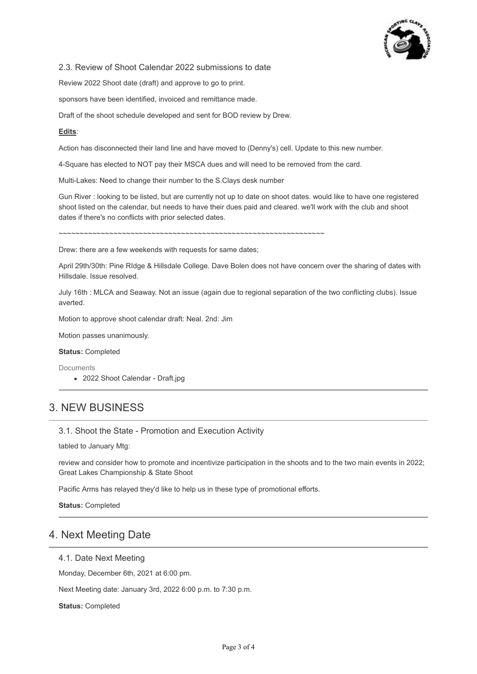

#### 2.3. Review of Shoot Calendar 2022 submissions to date

Review 2022 Shoot date (draft) and approve to go to print.

sponsors have been identified, invoiced and remittance made.

Draft of the shoot schedule developed and sent for BOD review by Drew.

#### **Edits**:

Action has disconnected their land line and have moved to (Denny's) cell. Update to this new number.

4-Square has elected to NOT pay their MSCA dues and will need to be removed from the card.

Multi-Lakes: Need to change their number to the S.Clays desk number

Gun River : looking to be listed, but are currently not up to date on shoot dates. would like to have one registered shoot listed on the calendar, but needs to have their dues paid and cleared. we'll work with the club and shoot dates if there's no conflicts with prior selected dates.

~~~~~~~~~~~~~~~~~~~~~~~~~~~~~~~~~~~~~~~~~~~~~~~~~~~~~~~~~~~~~~~

Drew: there are a few weekends with requests for same dates;

April 29th/30th: Pine RIdge & Hillsdale College. Dave Bolen does not have concern over the sharing of dates with Hillsdale. Issue resolved.

July 16th : MLCA and Seaway. Not an issue (again due to regional separation of the two conflicting clubs). Issue averted.

Motion to approve shoot calendar draft: Neal. 2nd: Jim

Motion passes unanimously.

**Status:** Completed

Documents

• 2022 Shoot Calendar - Draft.jpg

## 3. NEW BUSINESS

#### 3.1. Shoot the State - Promotion and Execution Activity

tabled to January Mtg:

review and consider how to promote and incentivize participation in the shoots and to the two main events in 2022; Great Lakes Championship & State Shoot

Pacific Arms has relayed they'd like to help us in these type of promotional efforts.

**Status:** Completed

### 4. Next Meeting Date

#### 4.1. Date Next Meeting

Monday, December 6th, 2021 at 6:00 pm.

Next Meeting date: January 3rd, 2022 6:00 p.m. to 7:30 p.m.

**Status:** Completed